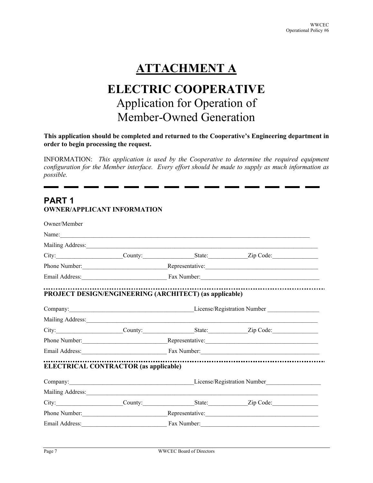# **ATTACHMENT A**

## **ELECTRIC COOPERATIVE** Application for Operation of Member-Owned Generation

#### **This application should be completed and returned to the Cooperative's Engineering department in order to begin processing the request.**

INFORMATION: *This application is used by the Cooperative to determine the required equipment configuration for the Member interface. Every effort should be made to supply as much information as possible.* 

### **PART 1 OWNER/APPLICANT INFORMATION**

| Owner/Member                                                                                                                                                                                                                  |                                                                                                                                                                                                                                |                                                        |                                                                                                                                                                                                                                     |  |  |
|-------------------------------------------------------------------------------------------------------------------------------------------------------------------------------------------------------------------------------|--------------------------------------------------------------------------------------------------------------------------------------------------------------------------------------------------------------------------------|--------------------------------------------------------|-------------------------------------------------------------------------------------------------------------------------------------------------------------------------------------------------------------------------------------|--|--|
| Name: Name and the second contract of the second contract of the second contract of the second contract of the second contract of the second contract of the second contract of the second contract of the second contract of |                                                                                                                                                                                                                                |                                                        |                                                                                                                                                                                                                                     |  |  |
|                                                                                                                                                                                                                               |                                                                                                                                                                                                                                | Mailing Address: Mailing Address:                      |                                                                                                                                                                                                                                     |  |  |
|                                                                                                                                                                                                                               |                                                                                                                                                                                                                                |                                                        |                                                                                                                                                                                                                                     |  |  |
|                                                                                                                                                                                                                               |                                                                                                                                                                                                                                |                                                        |                                                                                                                                                                                                                                     |  |  |
|                                                                                                                                                                                                                               |                                                                                                                                                                                                                                |                                                        |                                                                                                                                                                                                                                     |  |  |
|                                                                                                                                                                                                                               |                                                                                                                                                                                                                                | PROJECT DESIGN/ENGINEERING (ARCHITECT) (as applicable) |                                                                                                                                                                                                                                     |  |  |
|                                                                                                                                                                                                                               |                                                                                                                                                                                                                                |                                                        | Company: Company: Company: Company: Company: Company: Company: Company: Company: Company: Company: Company: Company: Company: Company: Company: Company: Company: Company: Company: Company: Company: Company: Company: Compan      |  |  |
|                                                                                                                                                                                                                               |                                                                                                                                                                                                                                |                                                        |                                                                                                                                                                                                                                     |  |  |
|                                                                                                                                                                                                                               |                                                                                                                                                                                                                                |                                                        | City: City: County: County: State: Zip Code:                                                                                                                                                                                        |  |  |
|                                                                                                                                                                                                                               |                                                                                                                                                                                                                                |                                                        |                                                                                                                                                                                                                                     |  |  |
|                                                                                                                                                                                                                               |                                                                                                                                                                                                                                |                                                        |                                                                                                                                                                                                                                     |  |  |
| <b>ELECTRICAL CONTRACTOR (as applicable)</b>                                                                                                                                                                                  |                                                                                                                                                                                                                                |                                                        |                                                                                                                                                                                                                                     |  |  |
|                                                                                                                                                                                                                               | Company: Company: Company: Company: Company: Company: Company: Company: Company: Company: Company: Company: Company: Company: Company: Company: Company: Company: Company: Company: Company: Company: Company: Company: Compan |                                                        |                                                                                                                                                                                                                                     |  |  |
|                                                                                                                                                                                                                               |                                                                                                                                                                                                                                |                                                        | Mailing Address: 1988 Mailing Address: 1988 Mailing Address: 1988 Mailing Address: 1988 Mailing Address: 1988 Mailing Address: 1988 Mailing Address: 1988 Mailing Address: 1988 Mailing Address: 1988 Mailing Address: 1988 Ma      |  |  |
|                                                                                                                                                                                                                               |                                                                                                                                                                                                                                |                                                        | City: City: County: County: State: Zip Code:                                                                                                                                                                                        |  |  |
|                                                                                                                                                                                                                               |                                                                                                                                                                                                                                |                                                        | Phone Number: <u>Neuron Alexander Representative:</u> Neuron Communication Communication Communication Communication Communication Communication Communication Communication Communication Communication Communication Communicatio |  |  |
|                                                                                                                                                                                                                               |                                                                                                                                                                                                                                |                                                        | Email Address: Fax Number: Fax Number:                                                                                                                                                                                              |  |  |
|                                                                                                                                                                                                                               |                                                                                                                                                                                                                                |                                                        |                                                                                                                                                                                                                                     |  |  |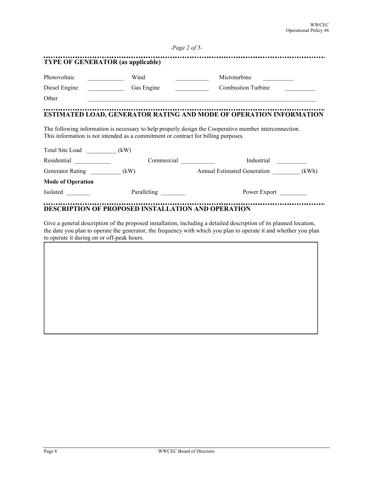| Photovoltaic                         | Wind<br><u> 1999 - Johann Barnett, f</u>                                                                                                                                     | Microturbine                                                                                           |       |
|--------------------------------------|------------------------------------------------------------------------------------------------------------------------------------------------------------------------------|--------------------------------------------------------------------------------------------------------|-------|
| Diesel Engine                        | Gas Engine<br>$\frac{1}{2} \left( \frac{1}{2} \right)^2 \left( \frac{1}{2} \right)^2 \left( \frac{1}{2} \right)^2 \left( \frac{1}{2} \right)^2 \left( \frac{1}{2} \right)^2$ | <b>Combustion Turbine</b>                                                                              |       |
| Other                                |                                                                                                                                                                              |                                                                                                        |       |
|                                      |                                                                                                                                                                              | ESTIMATED LOAD, GENERATOR RATING AND MODE OF OPERATION INFORMATION                                     |       |
|                                      |                                                                                                                                                                              |                                                                                                        |       |
|                                      | This information is not intended as a commitment or contract for billing purposes.                                                                                           | The following information is necessary to help properly design the Cooperative member interconnection. |       |
| Total Site Load (kW)                 |                                                                                                                                                                              |                                                                                                        |       |
|                                      | Commercial Commercial                                                                                                                                                        | Industrial                                                                                             |       |
| Residential<br>Generator Rating (kW) |                                                                                                                                                                              | <b>Annual Estimated Generation</b>                                                                     | (kWh) |
| <b>Mode of Operation</b>             |                                                                                                                                                                              |                                                                                                        |       |

Give a general description of the proposed installation, including a detailed description of its planned location, the date you plan to operate the generator, the frequency with which you plan to operate it and whether you plan to operate it during on or off-peak hours.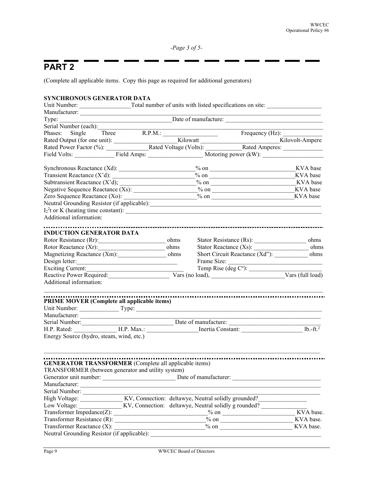*-Page 3 of 5-*

## **PART 2**

(Complete all applicable items. Copy this page as required for additional generators)

| SYNCHRONOUS GENERATOR DATA                                                                                                                                                                         |  |  |  |                                             |                        |
|----------------------------------------------------------------------------------------------------------------------------------------------------------------------------------------------------|--|--|--|---------------------------------------------|------------------------|
|                                                                                                                                                                                                    |  |  |  |                                             |                        |
|                                                                                                                                                                                                    |  |  |  |                                             |                        |
|                                                                                                                                                                                                    |  |  |  |                                             |                        |
| Serial Number (each):                                                                                                                                                                              |  |  |  |                                             |                        |
|                                                                                                                                                                                                    |  |  |  |                                             |                        |
|                                                                                                                                                                                                    |  |  |  |                                             |                        |
|                                                                                                                                                                                                    |  |  |  |                                             |                        |
| Phases: Single Three R.P.M.: Frequency (Hz):<br>Rated Output (for one unit): Kilowatt Kilovolt-Ampere Rated Power Factor (%): Kilovolt-Ampere Rated Power Factor (%): Kilovolt-Ampere Field Volts: |  |  |  |                                             |                        |
|                                                                                                                                                                                                    |  |  |  | $\frac{\% \text{ on }$ KVA base             |                        |
|                                                                                                                                                                                                    |  |  |  | $\frac{6}{100}$ on $\frac{1}{100}$ KVA base |                        |
|                                                                                                                                                                                                    |  |  |  |                                             |                        |
|                                                                                                                                                                                                    |  |  |  |                                             |                        |
|                                                                                                                                                                                                    |  |  |  |                                             |                        |
|                                                                                                                                                                                                    |  |  |  |                                             |                        |
|                                                                                                                                                                                                    |  |  |  |                                             |                        |
| Additional information:                                                                                                                                                                            |  |  |  |                                             |                        |
|                                                                                                                                                                                                    |  |  |  |                                             |                        |
| <b>INDUCTION GENERATOR DATA</b>                                                                                                                                                                    |  |  |  |                                             |                        |
|                                                                                                                                                                                                    |  |  |  |                                             |                        |
|                                                                                                                                                                                                    |  |  |  |                                             | ohms                   |
| Magnetizing Reactance (Xm): ohms                                                                                                                                                                   |  |  |  |                                             |                        |
| Design letter:                                                                                                                                                                                     |  |  |  |                                             |                        |
| Exciting Current:                                                                                                                                                                                  |  |  |  |                                             |                        |
| Additional information:                                                                                                                                                                            |  |  |  |                                             |                        |
|                                                                                                                                                                                                    |  |  |  |                                             |                        |
| PRIME MOVER (Complete all applicable items)                                                                                                                                                        |  |  |  |                                             |                        |
|                                                                                                                                                                                                    |  |  |  |                                             |                        |
|                                                                                                                                                                                                    |  |  |  |                                             |                        |
|                                                                                                                                                                                                    |  |  |  |                                             |                        |
|                                                                                                                                                                                                    |  |  |  |                                             |                        |
| Energy Source (hydro, steam, wind, etc.)                                                                                                                                                           |  |  |  |                                             |                        |
|                                                                                                                                                                                                    |  |  |  |                                             |                        |
| <b>GENERATOR TRANSFORMER</b> (Complete all applicable items)                                                                                                                                       |  |  |  |                                             |                        |
| TRANSFORMER (between generator and utility system)                                                                                                                                                 |  |  |  |                                             |                        |
|                                                                                                                                                                                                    |  |  |  |                                             |                        |
|                                                                                                                                                                                                    |  |  |  |                                             |                        |
| Serial Number:                                                                                                                                                                                     |  |  |  |                                             |                        |
| High Voltage: KV, Connection: deltawye, Neutral solidly grounded?                                                                                                                                  |  |  |  |                                             |                        |
|                                                                                                                                                                                                    |  |  |  |                                             |                        |
| Low Voltage: ____________________KV, Connection: deltawye, Neutral solidly g rounded?                                                                                                              |  |  |  |                                             |                        |
| Transformer Impedance(Z): $\frac{9}{2}$ on $\frac{1}{2}$                                                                                                                                           |  |  |  |                                             | KVA base.<br>KVA base. |
| Transformer Reactance (X):                                                                                                                                                                         |  |  |  | $\frac{1}{2}$ on                            | KVA base.              |
| Neutral Grounding Resistor (if applicable):                                                                                                                                                        |  |  |  |                                             |                        |
|                                                                                                                                                                                                    |  |  |  |                                             |                        |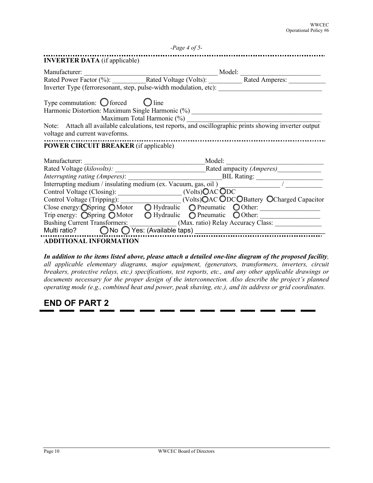|                                                                                                                                                                                                                                                                                                                                        | $-Page 4 of 5-$            |  |
|----------------------------------------------------------------------------------------------------------------------------------------------------------------------------------------------------------------------------------------------------------------------------------------------------------------------------------------|----------------------------|--|
| <b>INVERTER DATA</b> (if applicable)                                                                                                                                                                                                                                                                                                   |                            |  |
|                                                                                                                                                                                                                                                                                                                                        |                            |  |
| Manufacturer: Manufacturer: Model: Model: Model: Model: Model: Rated Power Factor (%): Rated Voltage (Volts): Model: Rated Amperes:                                                                                                                                                                                                    |                            |  |
| Inverter Type (ferroresonant, step, pulse-width modulation, etc): __________________________________                                                                                                                                                                                                                                   |                            |  |
| Type commutation: $\bigcirc$ forced $\bigcirc$ line<br>Harmonic Distortion: Maximum Single Harmonic (%) ________________________________<br>Note: Attach all available calculations, test reports, and oscillographic prints showing inverter output<br>voltage and current waveforms.<br><b>POWER CIRCUIT BREAKER</b> (if applicable) | Maximum Total Harmonic (%) |  |
| Manufacturer:                                                                                                                                                                                                                                                                                                                          |                            |  |
|                                                                                                                                                                                                                                                                                                                                        |                            |  |
|                                                                                                                                                                                                                                                                                                                                        |                            |  |
|                                                                                                                                                                                                                                                                                                                                        |                            |  |
|                                                                                                                                                                                                                                                                                                                                        |                            |  |
| Control Voltage (Tripping): __________________(Volts)OAC ODCOBattery OCharged Capacitor                                                                                                                                                                                                                                                |                            |  |
| Close energy: Ospring OMotor O Hydraulic O Pneumatic O Other:                                                                                                                                                                                                                                                                          |                            |  |
| Trip energy: Ospring OMotor O Hydraulic O Pneumatic O Other:                                                                                                                                                                                                                                                                           |                            |  |
| Bushing Current Transformers: _____________(Max. ratio) Relay Accuracy Class: _____________________                                                                                                                                                                                                                                    |                            |  |
|                                                                                                                                                                                                                                                                                                                                        |                            |  |
| <b>ADDITIONAL INFORMATION</b>                                                                                                                                                                                                                                                                                                          |                            |  |

*In addition to the items listed above, please attach a detailed one-line diagram of the proposed facility, all applicable elementary diagrams, major equipment, (generators, transformers, inverters, circuit breakers, protective relays, etc.) specifications, test reports, etc., and any other applicable drawings or documents necessary for the proper design of the interconnection. Also describe the project's planned operating mode (e.g., combined heat and power, peak shaving, etc.), and its address or grid coordinates.* 

### **END OF PART 2**